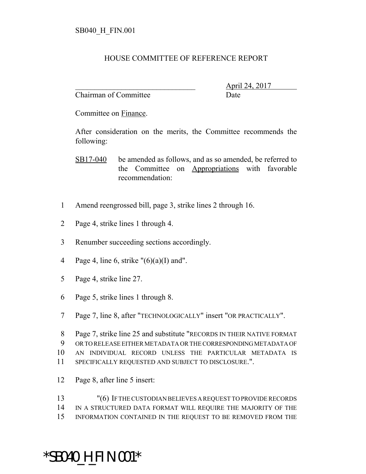## HOUSE COMMITTEE OF REFERENCE REPORT

Chairman of Committee Date

\_\_\_\_\_\_\_\_\_\_\_\_\_\_\_\_\_\_\_\_\_\_\_\_\_\_\_\_\_\_\_ April 24, 2017

Committee on Finance.

After consideration on the merits, the Committee recommends the following:

SB17-040 be amended as follows, and as so amended, be referred to the Committee on Appropriations with favorable recommendation:

- 1 Amend reengrossed bill, page 3, strike lines 2 through 16.
- 2 Page 4, strike lines 1 through 4.
- 3 Renumber succeeding sections accordingly.
- 4 Page 4, line 6, strike  $\frac{1}{6}(6)(a)(I)$  and".
- 5 Page 4, strike line 27.
- 6 Page 5, strike lines 1 through 8.
- 7 Page 7, line 8, after "TECHNOLOGICALLY" insert "OR PRACTICALLY".
- 8 Page 7, strike line 25 and substitute "RECORDS IN THEIR NATIVE FORMAT
- 9 OR TO RELEASE EITHER METADATA OR THE CORRESPONDING METADATA OF
- 10 AN INDIVIDUAL RECORD UNLESS THE PARTICULAR METADATA IS
- 11 SPECIFICALLY REQUESTED AND SUBJECT TO DISCLOSURE.".
- 12 Page 8, after line 5 insert:

13 "(6) IF THE CUSTODIAN BELIEVES A REQUEST TO PROVIDE RECORDS 14 IN A STRUCTURED DATA FORMAT WILL REQUIRE THE MAJORITY OF THE 15 INFORMATION CONTAINED IN THE REQUEST TO BE REMOVED FROM THE

## \*SB040\_H\_FIN.001\*